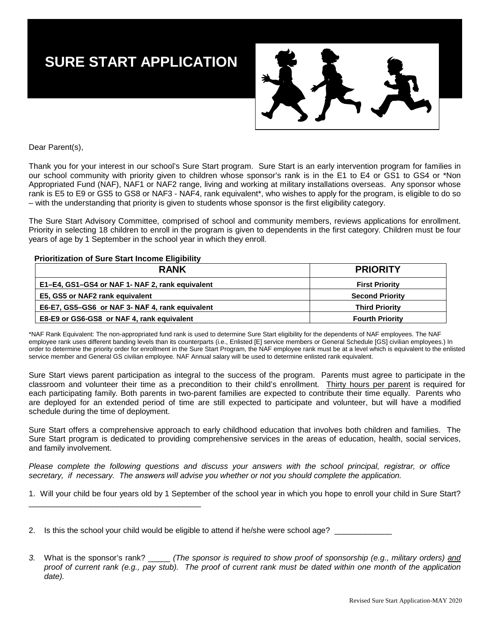## **SURE START APPLICATION**



Dear Parent(s),

Thank you for your interest in our school's Sure Start program. Sure Start is an early intervention program for families in our school community with priority given to children whose sponsor's rank is in the E1 to E4 or GS1 to GS4 or \*Non Appropriated Fund (NAF), NAF1 or NAF2 range, living and working at military installations overseas. Any sponsor whose rank is E5 to E9 or GS5 to GS8 or NAF3 - NAF4, rank equivalent\*, who wishes to apply for the program, is eligible to do so – with the understanding that priority is given to students whose sponsor is the first eligibility category.

The Sure Start Advisory Committee, comprised of school and community members, reviews applications for enrollment. Priority in selecting 18 children to enroll in the program is given to dependents in the first category. Children must be four years of age by 1 September in the school year in which they enroll.

#### **Prioritization of Sure Start Income Eligibility**

\_\_\_\_\_\_\_\_\_\_\_\_\_\_\_\_\_\_\_\_\_\_\_\_\_\_\_\_\_\_\_\_\_\_\_\_\_\_\_

| <b>RANK</b>                                     | <b>PRIORITY</b>        |
|-------------------------------------------------|------------------------|
| E1–E4, GS1–GS4 or NAF 1- NAF 2, rank equivalent | <b>First Priority</b>  |
| E5, GS5 or NAF2 rank equivalent                 | <b>Second Priority</b> |
| E6-E7, GS5-GS6 or NAF 3- NAF 4, rank equivalent | <b>Third Priority</b>  |
| E8-E9 or GS6-GS8 or NAF 4, rank equivalent      | <b>Fourth Priority</b> |

\*NAF Rank Equivalent: The non-appropriated fund rank is used to determine Sure Start eligibility for the dependents of NAF employees. The NAF employee rank uses different banding levels than its counterparts (i.e., Enlisted [E] service members or General Schedule [GS] civilian employees.) In order to determine the priority order for enrollment in the Sure Start Program, the NAF employee rank must be at a level which is equivalent to the enlisted service member and General GS civilian employee. NAF Annual salary will be used to determine enlisted rank equivalent.

Sure Start views parent participation as integral to the success of the program. Parents must agree to participate in the classroom and volunteer their time as a precondition to their child's enrollment. Thirty hours per parent is required for each participating family. Both parents in two-parent families are expected to contribute their time equally. Parents who are deployed for an extended period of time are still expected to participate and volunteer, but will have a modified schedule during the time of deployment.

Sure Start offers a comprehensive approach to early childhood education that involves both children and families. The Sure Start program is dedicated to providing comprehensive services in the areas of education, health, social services, and family involvement.

*Please complete the following questions and discuss your answers with the school principal, registrar, or office secretary, if necessary. The answers will advise you whether or not you should complete the application.* 

1. Will your child be four years old by 1 September of the school year in which you hope to enroll your child in Sure Start?

2. Is this the school your child would be eligible to attend if he/she were school age? \_\_\_\_\_\_\_\_\_\_\_

*3.* What is the sponsor's rank? \_\_\_\_\_ *(The sponsor is required to show proof of sponsorship (e.g., military orders) and proof of current rank (e.g., pay stub). The proof of current rank must be dated within one month of the application date).*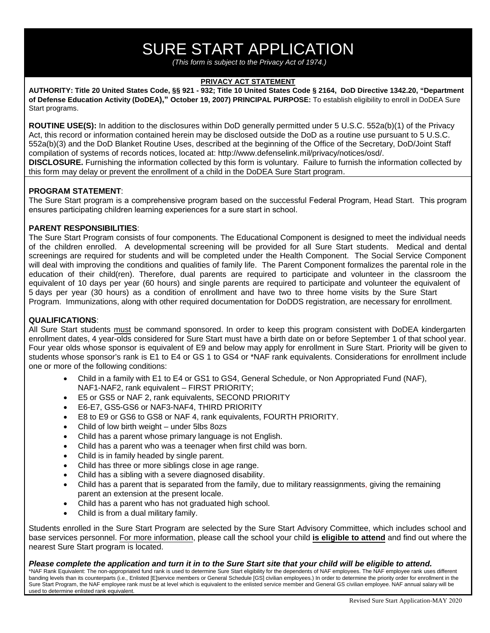# SURE START APPLICATION

*(This form is subject to the Privacy Act of 1974.)*

#### **PRIVACY ACT STATEMENT**

**AUTHORITY: Title 20 United States Code, §§ 921 - 932; Title 10 United States Code § 2164, DoD Directive 1342.20, "Department of Defense Education Activity (DoDEA)," October 19, 2007) PRINCIPAL PURPOSE:** To establish eligibility to enroll in DoDEA Sure Start programs.

**ROUTINE USE(S):** In addition to the disclosures within DoD generally permitted under 5 U.S.C. 552a(b)(1) of the Privacy Act, this record or information contained herein may be disclosed outside the DoD as a routine use pursuant to 5 U.S.C. 552a(b)(3) and the DoD Blanket Routine Uses, described at the beginning of the Office of the Secretary, DoD/Joint Staff compilation of systems of records notices, located at: http://www.defenselink.mil/privacy/notices/osd/. **DISCLOSURE.** Furnishing the information collected by this form is voluntary. Failure to furnish the information collected by this form may delay or prevent the enrollment of a child in the DoDEA Sure Start program.

#### **PROGRAM STATEMENT**:

The Sure Start program is a comprehensive program based on the successful Federal Program, Head Start. This program ensures participating children learning experiences for a sure start in school.

### **PARENT RESPONSIBILITIES**:

The Sure Start Program consists of four components. The Educational Component is designed to meet the individual needs of the children enrolled. A developmental screening will be provided for all Sure Start students. Medical and dental screenings are required for students and will be completed under the Health Component. The Social Service Component will deal with improving the conditions and qualities of family life. The Parent Component formalizes the parental role in the education of their child(ren). Therefore, dual parents are required to participate and volunteer in the classroom the equivalent of 10 days per year (60 hours) and single parents are required to participate and volunteer the equivalent of 5 days per year (30 hours) as a condition of enrollment and have two to three home visits by the Sure Start Program. Immunizations, along with other required documentation for DoDDS registration, are necessary for enrollment.

### **QUALIFICATIONS**:

All Sure Start students must be command sponsored. In order to keep this program consistent with DoDEA kindergarten enrollment dates, 4 year-olds considered for Sure Start must have a birth date on or before September 1 of that school year. Four year olds whose sponsor is equivalent of E9 and below may apply for enrollment in Sure Start. Priority will be given to students whose sponsor's rank is E1 to E4 or GS 1 to GS4 or \*NAF rank equivalents. Considerations for enrollment include one or more of the following conditions:

- Child in a family with E1 to E4 or GS1 to GS4, General Schedule, or Non Appropriated Fund (NAF), NAF1-NAF2, rank equivalent – FIRST PRIORITY;
- E5 or GS5 or NAF 2, rank equivalents, SECOND PRIORITY
- E6-E7, GS5-GS6 or NAF3-NAF4, THIRD PRIORITY
- E8 to E9 or GS6 to GS8 or NAF 4, rank equivalents, FOURTH PRIORITY.
- Child of low birth weight under 5lbs 8ozs
- Child has a parent whose primary language is not English.
- Child has a parent who was a teenager when first child was born.
- Child is in family headed by single parent.
- Child has three or more siblings close in age range.
- Child has a sibling with a severe diagnosed disability.
- Child has a parent that is separated from the family, due to military reassignments, giving the remaining parent an extension at the present locale.
- Child has a parent who has not graduated high school.
- Child is from a dual military family.

Students enrolled in the Sure Start Program are selected by the Sure Start Advisory Committee, which includes school and base services personnel. For more information, please call the school your child **is eligible to attend** and find out where the nearest Sure Start program is located.

#### *Please complete the application and turn it in to the Sure Start site that your child will be eligible to attend.*

\*NAF Rank Equivalent: The non-appropriated fund rank is used to determine Sure Start eligibility for the dependents of NAF employees. The NAF employee rank uses different banding levels than its counterparts (i.e., Enlisted [E]service members or General Schedule [GS] civilian employees.) In order to determine the priority order for enrollment in the Sure Start Program, the NAF employee rank must be at level which is equivalent to the enlisted service member and General GS civilian employee. NAF annual salary will be used to determine enlisted rank equivalent.